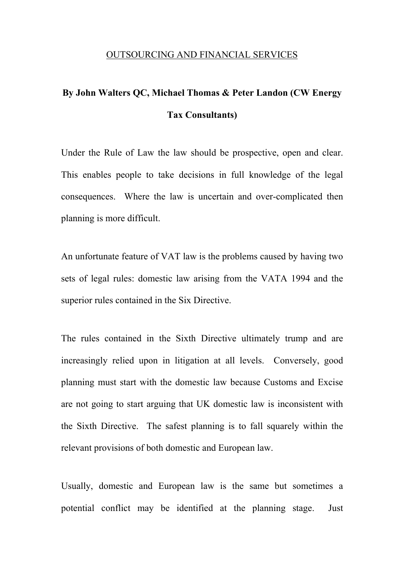## OUTSOURCING AND FINANCIAL SERVICES

## **By John Walters QC, Michael Thomas & Peter Landon (CW Energy Tax Consultants)**

Under the Rule of Law the law should be prospective, open and clear. This enables people to take decisions in full knowledge of the legal consequences. Where the law is uncertain and over-complicated then planning is more difficult.

An unfortunate feature of VAT law is the problems caused by having two sets of legal rules: domestic law arising from the VATA 1994 and the superior rules contained in the Six Directive.

The rules contained in the Sixth Directive ultimately trump and are increasingly relied upon in litigation at all levels. Conversely, good planning must start with the domestic law because Customs and Excise are not going to start arguing that UK domestic law is inconsistent with the Sixth Directive. The safest planning is to fall squarely within the relevant provisions of both domestic and European law.

Usually, domestic and European law is the same but sometimes a potential conflict may be identified at the planning stage. Just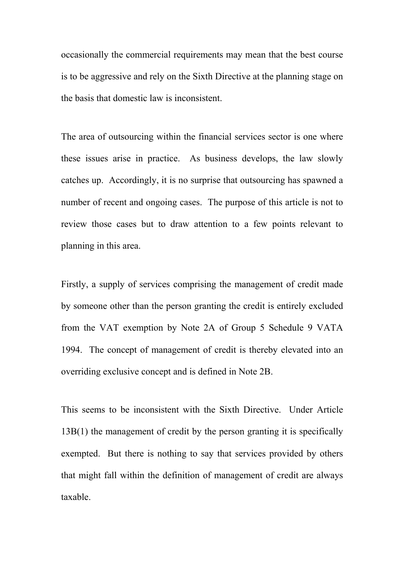occasionally the commercial requirements may mean that the best course is to be aggressive and rely on the Sixth Directive at the planning stage on the basis that domestic law is inconsistent.

The area of outsourcing within the financial services sector is one where these issues arise in practice. As business develops, the law slowly catches up. Accordingly, it is no surprise that outsourcing has spawned a number of recent and ongoing cases. The purpose of this article is not to review those cases but to draw attention to a few points relevant to planning in this area.

Firstly, a supply of services comprising the management of credit made by someone other than the person granting the credit is entirely excluded from the VAT exemption by Note 2A of Group 5 Schedule 9 VATA 1994. The concept of management of credit is thereby elevated into an overriding exclusive concept and is defined in Note 2B.

This seems to be inconsistent with the Sixth Directive. Under Article 13B(1) the management of credit by the person granting it is specifically exempted. But there is nothing to say that services provided by others that might fall within the definition of management of credit are always taxable.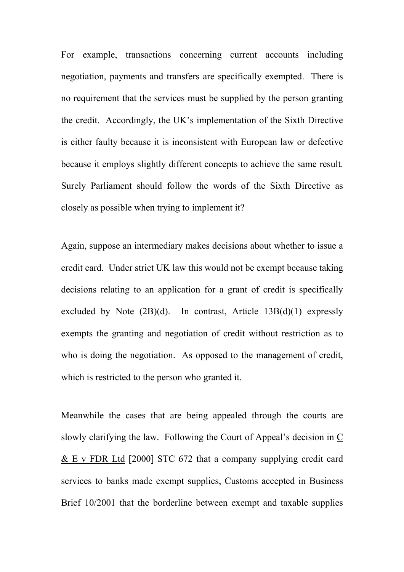For example, transactions concerning current accounts including negotiation, payments and transfers are specifically exempted. There is no requirement that the services must be supplied by the person granting the credit. Accordingly, the UK's implementation of the Sixth Directive is either faulty because it is inconsistent with European law or defective because it employs slightly different concepts to achieve the same result. Surely Parliament should follow the words of the Sixth Directive as closely as possible when trying to implement it?

Again, suppose an intermediary makes decisions about whether to issue a credit card. Under strict UK law this would not be exempt because taking decisions relating to an application for a grant of credit is specifically excluded by Note  $(2B)(d)$ . In contrast, Article  $13B(d)(1)$  expressly exempts the granting and negotiation of credit without restriction as to who is doing the negotiation. As opposed to the management of credit, which is restricted to the person who granted it.

Meanwhile the cases that are being appealed through the courts are slowly clarifying the law. Following the Court of Appeal's decision in C & E v FDR Ltd [2000] STC 672 that a company supplying credit card services to banks made exempt supplies, Customs accepted in Business Brief 10/2001 that the borderline between exempt and taxable supplies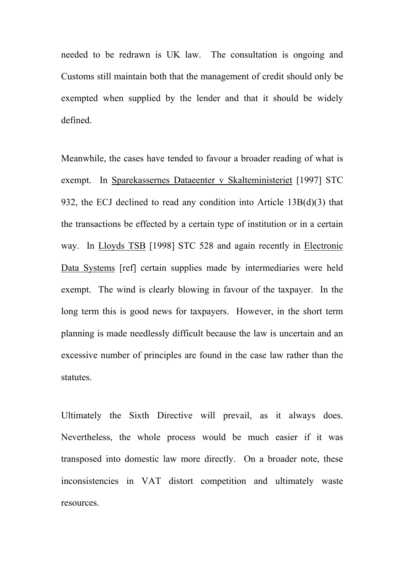needed to be redrawn is UK law. The consultation is ongoing and Customs still maintain both that the management of credit should only be exempted when supplied by the lender and that it should be widely defined.

Meanwhile, the cases have tended to favour a broader reading of what is exempt. In Sparekassernes Dataeenter v Skalteministeriet [1997] STC 932, the ECJ declined to read any condition into Article 13B(d)(3) that the transactions be effected by a certain type of institution or in a certain way. In Lloyds TSB [1998] STC 528 and again recently in Electronic Data Systems [ref] certain supplies made by intermediaries were held exempt. The wind is clearly blowing in favour of the taxpayer. In the long term this is good news for taxpayers. However, in the short term planning is made needlessly difficult because the law is uncertain and an excessive number of principles are found in the case law rather than the statutes.

Ultimately the Sixth Directive will prevail, as it always does. Nevertheless, the whole process would be much easier if it was transposed into domestic law more directly. On a broader note, these inconsistencies in VAT distort competition and ultimately waste resources.